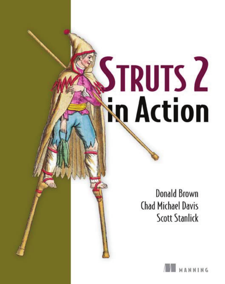# **STRUTS 2 in Action**

**Donald Brown Chad Michael Davis Scott Stanlick** 

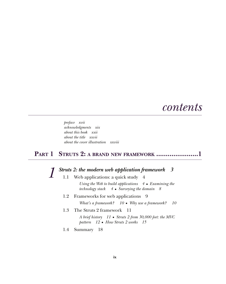## *contents*

*preface xvii acknowledgments xix about this book xxii about the title xxvii about the cover illustration xxviii*

#### PART 1 STRUTS 2: A BRAND NEW FRAMEWORK .......................1

# *Struts 2: the modern web application framework* **3<br>1.1 Web applications: a quick study 4**

Web applications: a quick study  $4$ 

*Using the Web to build applications 4* ■ *Examining the technology stack 4* ■ *Surveying the domain 8*

- 1.2 Frameworks for web applications 9 *What's a framework? 10* ■ *Why use a framework? 10*
- 1.3 The Struts 2 framework 11

*A brief history 11* ■ *Struts 2 from 30,000 feet: the MVC pattern 12* ■ *How Struts 2 works 15*

1.4 Summary 18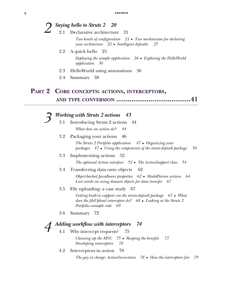*2 Saying hello to Struts 2 20*

Declarative architecture 21

*Two kinds of configuration 21* ■ *Two mechanisms for declaring your architecture 22* ■ *Intelligent defaults 25*

- 2.2 A quick hello 25 *Deploying the sample application 26* ■ *Exploring the HelloWorld application 30*
- 2.3 HelloWorld using annotations 36
- 2.4 Summary 38

#### PART 2 CORE CONCEPTS: ACTIONS, INTERCEPTORS, **AND TYPE CONVERSION .......................................41**

|  | <b>Working with Struts 2 actions</b> 43 |  |  |  |  |  |
|--|-----------------------------------------|--|--|--|--|--|
|--|-----------------------------------------|--|--|--|--|--|

- *3 Working with Struts 2 actions 43* 3.1 Introducing Struts 2 actions 44 *What does an action do? 44*
	- 3.2 Packaging your actions 46 *The Struts 2 Portfolio application 47* ■ *Organizing your packages 47* ■ *Using the components of the struts-default package 50*
	- 3.3 Implementing actions 52 *The optional Action interface 52* ■ *The ActionSupport class 54*
	- 3.4 Transferring data onto objects 62

*Object-backed JavaBeans properties 62* ■ *ModelDriven actions 64 Last words on using domain objects for data transfer 67*

3.5 File uploading: a case study 67

*Getting built-in support via the struts-default package 67* ■ *What does the fileUpload interceptor do? 68* ■ *Looking at the Struts 2 Portfolio example code 69*

3.6 Summary 72

## *Adding workflow with interceptors* 74<br>4.1 Why intercept requests? 75

- Why intercept requests? 75 *Cleaning up the MVC 75* ■ *Reaping the benefits 77 Developing interceptors 78*
- 4.2 Interceptors in action 78

*The guy in charge: ActionInvocation 78* ■ *How the interceptors fire 79*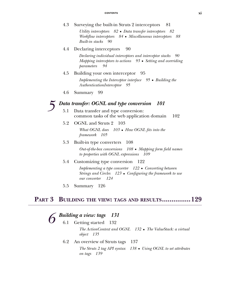4.3 Surveying the built-in Struts 2 interceptors 81

*Utility interceptors 82* ■ *Data transfer interceptors 82 Workflow interceptors 84* ■ *Miscellaneous interceptors 88 Built-in stacks 90*

#### 4.4 Declaring interceptors 90

*Declaring individual interceptors and interceptor stacks 90 Mapping interceptors to actions 93* ■ *Setting and overriding parameters 94*

- 4.5 Building your own interceptor 95 *Implementing the Interceptor interface 95* ■ *Building the AuthenticationInterceptor 95*
- 4.6 Summary 99

## **Data transfer: OGNL and type conversion** 101<br>5.1 Data transfer and type conversion:

- Data transfer and type conversion: common tasks of the web application domain 102
- 5.2 OGNL and Struts 2 103 *What OGNL does 103* ■ *How OGNL fits into the framework 105*
- 5.3 Built-in type converters 108 *Out-of-the-box conversions 108* ■ *Mapping form field names to properties with OGNL expressions 109*
- 5.4 Customizing type conversion 122

*Implementing a type converter 122* ■ *Converting between Strings and Circles 123* ■ *Configuring the framework to use our converter 124*

5.5 Summary 126

#### PART 3 BUILDING THE VIEW: TAGS AND RESULTS...............129



## *6 Building a view: tags 131*

6.1 Getting started 132 *The ActionContext and OGNL 132* ■ *The ValueStack: a virtual object 135*

6.2 An overview of Struts tags 137

*The Struts 2 tag API syntax 138* ■ *Using OGNL to set attributes on tags 139*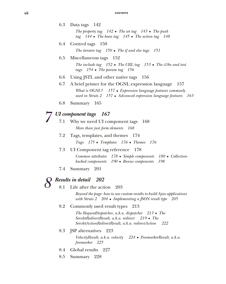- 6.3 Data tags 142 *The property tag 142* ■ *The set tag 143* ■ *The push tag 144* ■ *The bean tag 145* ■ *The action tag 148*
- 6.4 Control tags 150 *The iterator tag 150* ■ *The if and else tags 151*
- 6.5 Miscellaneous tags 152 *The include tag 152* ■ *The URL tag 153* ■ *The i18n and text tags 154* ■ *The param tag 156*
- 6.6 Using JSTL and other native tags 156
- 6.7 A brief primer for the OGNL expression language 157 *What is OGNL? 157* ■ *Expression language features commonly used in Struts 2 157* ■ *Advanced expression language features 163*
- 6.8 Summary 165

## *7.1 Why we need UI* component tags **167**

- 168 Why we need UI component tags *More than just form elements 168*
- 7.2 Tags, templates, and themes 174 *Tags 175* ■ *Templates 176* ■ *Themes 176*
- 7.3 UI Component tag reference 178

*Common attributes 178* ■ *Simple components 180* ■ *Collectionbacked components 190* ■ *Bonus components 198*

7.4 Summary 201

## *8.1 Results in detail* 202

- Life after the action 203 *Beyond the page: how to use custom results to build Ajax applications with Struts 2 204* ■ *Implementing a JSON result type 205*
- 8.2 Commonly used result types 213

*The RequestDispatcher, a.k.a. dispatcher 213* ■ *The ServletRedirectResult, a.k.a. redirect 219* ■ *The ServletActionRedirectResult, a.k.a. redirectAction 222*

#### 8.3 JSP alternatives 223

*VelocityResult, a.k.a. velocity 224* ■ *FreemarkerResult, a.k.a. freemarker 225*

- 8.4 Global results 227
- 8.5 Summary 228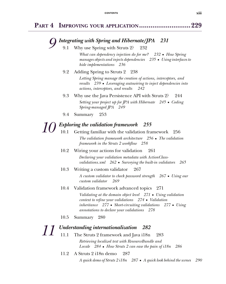### PART 4 IMPROVING YOUR APPLICATION................................229

|    |      | Integrating with Spring and Hibernate/JPA 231                                                                                                                                                                                                                 |
|----|------|---------------------------------------------------------------------------------------------------------------------------------------------------------------------------------------------------------------------------------------------------------------|
|    | 9.1  | Why use Spring with Struts 2?<br>232                                                                                                                                                                                                                          |
|    |      | What can dependency injection do for me? $232$ $\blacksquare$ How Spring<br>manages objects and injects dependencies 235 - Using interfaces to<br>hide implementations<br>236                                                                                 |
|    | 9.2  | Adding Spring to Struts 2<br>238                                                                                                                                                                                                                              |
|    |      | Letting Spring manage the creation of actions, interceptors, and<br>$239$ • Leveraging autowiring to inject dependencies into<br>results<br>actions, interceptors, and results<br>242                                                                         |
|    | 9.3  | Why use the Java Persistence API with Struts 2?<br>244                                                                                                                                                                                                        |
|    |      | Setting your project up for JPA with Hibernate 245 Goding<br>Spring-managed JPA<br>249                                                                                                                                                                        |
|    | 9.4  | 253<br>Summary                                                                                                                                                                                                                                                |
|    |      | <b>Exploring the validation framework</b><br>255                                                                                                                                                                                                              |
|    | 10.1 | Getting familiar with the validation framework<br>256                                                                                                                                                                                                         |
|    |      | The validation framework architecture $256$ • The validation<br>framework in the Struts 2 workflow<br>258                                                                                                                                                     |
|    | 10.2 | Wiring your actions for validation<br>261                                                                                                                                                                                                                     |
|    |      | Declaring your validation metadata with ActionClass-<br>validations.xml $262$ • Surveying the built-in validators $265$                                                                                                                                       |
|    | 10.3 | Writing a custom validator<br>267                                                                                                                                                                                                                             |
|    |      | A custom validator to check password strength 267 • Using our<br>269<br>custom validator                                                                                                                                                                      |
|    | 10.4 | Validation framework advanced topics 271                                                                                                                                                                                                                      |
|    |      | Validating at the domain object level $271$ $\blacksquare$ Using validation<br>context to refine your validations $274$ $\bullet$ Validation<br>inheritance $277$ • Short-circuiting validations $277$ • Using<br>annotations to declare your validations 278 |
|    | 10.5 | Summary<br>280                                                                                                                                                                                                                                                |
|    |      | Understanding internationalization<br>282                                                                                                                                                                                                                     |
| II | 11.1 | The Struts 2 framework and Java i18n<br>283                                                                                                                                                                                                                   |
|    |      | Retrieving localized text with ResourceBundle and<br>Locale $284$ • How Struts 2 can ease the pain of i18n<br>286                                                                                                                                             |
|    | 11.2 | 287<br>A Struts 2 i18n demo                                                                                                                                                                                                                                   |

*A quick demo of Struts 2 i18n 287* ■ *A quick look behind the scenes 290*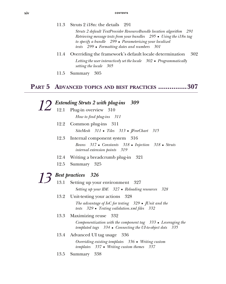11.3 Struts 2 i18n: the details 291

*Struts 2 default TextProvider ResourceBundle location algorithm 291 Retrieving message texts from your bundles 295* ■ *Using the i18n tag to specify a bundle 299* ■ *Parameterizing your localized texts 299* ■ *Formatting dates and numbers 301*

- 11.4 Overriding the framework's default locale determination 302 *Letting the user interactively set the locale 302* ■ *Programmatically setting the locale 305*
- 11.5 Summary 305

#### PART 5 ADVANCED TOPICS AND BEST PRACTICES ................307

|                           | <b>Extending Struts 2 with plug-ins 309</b>                                                                                     |  |  |
|---------------------------|---------------------------------------------------------------------------------------------------------------------------------|--|--|
|                           | 12.1 Plug-in overview 310                                                                                                       |  |  |
|                           | How to find plug-ins 311                                                                                                        |  |  |
| 12.2                      | Common plug-ins 311<br>SiteMesh 311 - Tiles 313 - JFreeChart 315                                                                |  |  |
| 12.3                      | Internal component system 316<br>Beans 317 Constants 318 - Injection 318 - Struts<br>internal extension points 319              |  |  |
| 12.4                      | Writing a breadcrumb plug-in 321                                                                                                |  |  |
| 12.5                      | Summary 325                                                                                                                     |  |  |
| <b>Best practices</b> 326 |                                                                                                                                 |  |  |
|                           | 13.1 Setting up your environment 327                                                                                            |  |  |
|                           | Setting up your IDE 327 • Reloading resources 328                                                                               |  |  |
|                           | 13.2 Unit-testing your actions 328                                                                                              |  |  |
|                           | The advantage of IoC for testing $329$ • JUnit and the<br>tests 329 • Testing validation. xml files 332                         |  |  |
| 13.3                      | Maximizing reuse 332                                                                                                            |  |  |
|                           | Componentization with the component tag $333$ • Leveraging the<br>templated tags $334$ • Connecting the UI-to-object dots $335$ |  |  |
|                           | 13.4 Advanced UI tag usage 336                                                                                                  |  |  |
|                           | Overriding existing templates 336 • Writing custom<br>templates $337$ Writing custom themes $337$                               |  |  |

13.5 Summary 338